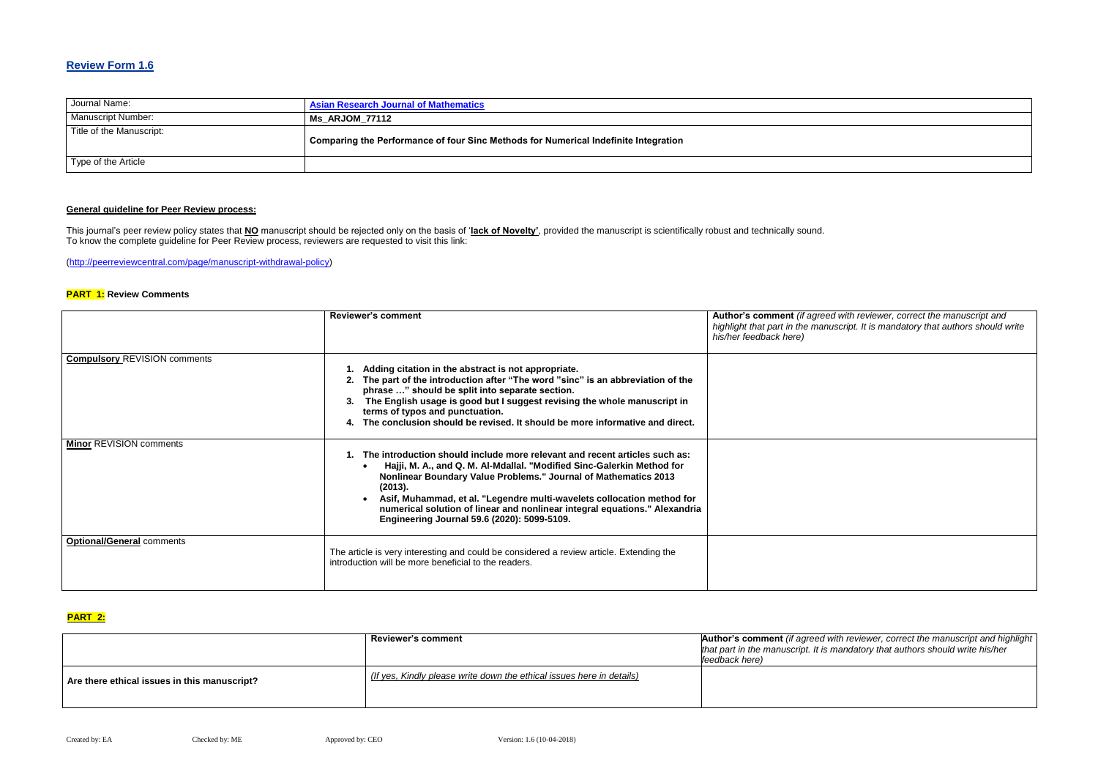## **Review Form 1.6**

| Journal Name:             | <b>Asian Research Journal of Mathematics</b>                                        |
|---------------------------|-------------------------------------------------------------------------------------|
| <b>Manuscript Number:</b> | Ms ARJOM 77112                                                                      |
| Title of the Manuscript:  | Comparing the Performance of four Sinc Methods for Numerical Indefinite Integration |
| Type of the Article       |                                                                                     |

## **General guideline for Peer Review process:**

**Red with reviewer, correct the manuscript and** *highlight that part in the manuscript. It is mandatory that authors should write* 

This journal's peer review policy states that **NO** manuscript should be rejected only on the basis of '**lack of Novelty'**, provided the manuscript is scientifically robust and technically sound. To know the complete guideline for Peer Review process, reviewers are requested to visit this link:

[\(http://peerreviewcentral.com/page/manuscript-withdrawal-policy\)](http://peerreviewcentral.com/page/manuscript-withdrawal-policy)

#### **PART 1: Review Comments**

**Reviewer's comment Author's comment** *(if agreed with reviewer, correct the manuscript and highlight that authors should write his/her* 

|                                     | <b>Reviewer's comment</b>                                                                                                                                                                                                                                                                                                                                                                                                                        | Author's comment (if agree<br>highlight that part in the man<br>his/her feedback here) |
|-------------------------------------|--------------------------------------------------------------------------------------------------------------------------------------------------------------------------------------------------------------------------------------------------------------------------------------------------------------------------------------------------------------------------------------------------------------------------------------------------|----------------------------------------------------------------------------------------|
| <b>Compulsory REVISION comments</b> | Adding citation in the abstract is not appropriate.<br>The part of the introduction after "The word "sinc" is an abbreviation of the<br>phrase " should be split into separate section.<br>The English usage is good but I suggest revising the whole manuscript in<br>terms of typos and punctuation.<br>The conclusion should be revised. It should be more informative and direct.                                                            |                                                                                        |
| <b>Minor REVISION comments</b>      | The introduction should include more relevant and recent articles such as:<br>Hajji, M. A., and Q. M. Al-Mdallal. "Modified Sinc-Galerkin Method for<br><b>Nonlinear Boundary Value Problems." Journal of Mathematics 2013</b><br>(2013).<br>Asif, Muhammad, et al. "Legendre multi-wavelets collocation method for<br>numerical solution of linear and nonlinear integral equations." Alexandria<br>Engineering Journal 59.6 (2020): 5099-5109. |                                                                                        |
| <b>Optional/General comments</b>    | The article is very interesting and could be considered a review article. Extending the<br>introduction will be more beneficial to the readers.                                                                                                                                                                                                                                                                                                  |                                                                                        |

## **PART 2:**

|                                              | <b>Reviewer's comment</b>                                             | <b>Author's comment</b> (if agreed <b>w</b><br>that part in the manuscript. It is a<br>feedback here) |
|----------------------------------------------|-----------------------------------------------------------------------|-------------------------------------------------------------------------------------------------------|
| Are there ethical issues in this manuscript? | (If yes, Kindly please write down the ethical issues here in details) |                                                                                                       |